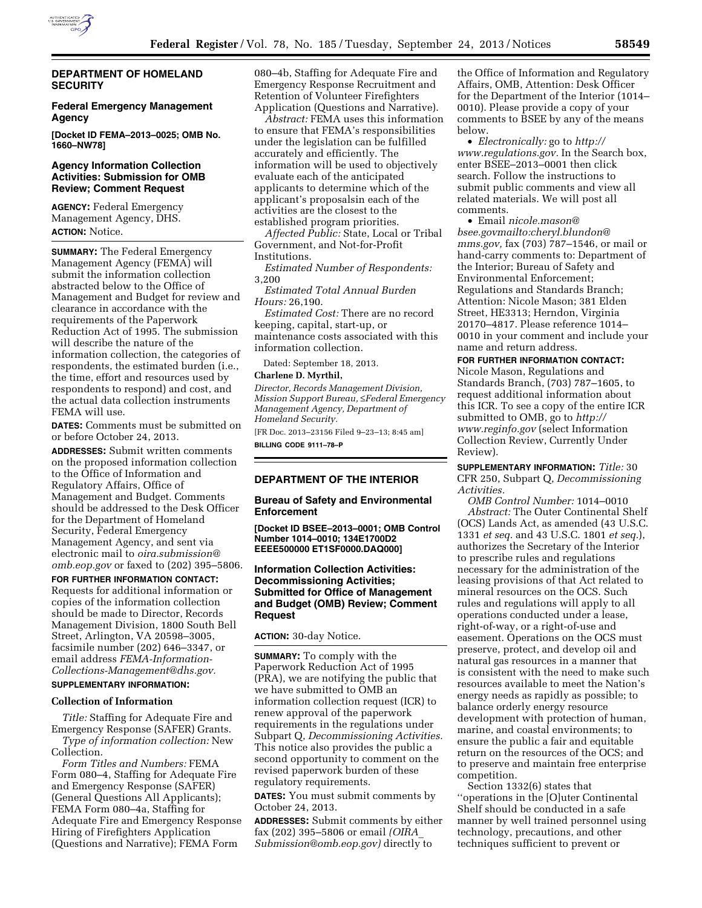

### **DEPARTMENT OF HOMELAND SECURITY**

### **Federal Emergency Management Agency**

**[Docket ID FEMA–2013–0025; OMB No. 1660–NW78]** 

#### **Agency Information Collection Activities: Submission for OMB Review; Comment Request**

**AGENCY:** Federal Emergency Management Agency, DHS. **ACTION:** Notice.

**SUMMARY:** The Federal Emergency Management Agency (FEMA) will submit the information collection abstracted below to the Office of Management and Budget for review and clearance in accordance with the requirements of the Paperwork Reduction Act of 1995. The submission will describe the nature of the information collection, the categories of respondents, the estimated burden (i.e., the time, effort and resources used by respondents to respond) and cost, and the actual data collection instruments FEMA will use.

**DATES:** Comments must be submitted on or before October 24, 2013.

**ADDRESSES:** Submit written comments on the proposed information collection to the Office of Information and Regulatory Affairs, Office of Management and Budget. Comments should be addressed to the Desk Officer for the Department of Homeland Security, Federal Emergency Management Agency, and sent via electronic mail to *[oira.submission@](mailto:oira.submission@omb.eop.gov) [omb.eop.gov](mailto:oira.submission@omb.eop.gov)* or faxed to (202) 395–5806.

**FOR FURTHER INFORMATION CONTACT:**  Requests for additional information or copies of the information collection should be made to Director, Records Management Division, 1800 South Bell Street, Arlington, VA 20598–3005, facsimile number (202) 646–3347, or email address *[FEMA-Information-](mailto:FEMA-Information-Collections-Management@dhs.gov)[Collections-Management@dhs.gov.](mailto:FEMA-Information-Collections-Management@dhs.gov)* 

# **SUPPLEMENTARY INFORMATION:**

### **Collection of Information**

*Title:* Staffing for Adequate Fire and Emergency Response (SAFER) Grants. *Type of information collection:* New Collection.

*Form Titles and Numbers:* FEMA Form 080–4, Staffing for Adequate Fire and Emergency Response (SAFER) (General Questions All Applicants); FEMA Form 080–4a, Staffing for Adequate Fire and Emergency Response Hiring of Firefighters Application (Questions and Narrative); FEMA Form

080–4b, Staffing for Adequate Fire and Emergency Response Recruitment and Retention of Volunteer Firefighters Application (Questions and Narrative).

*Abstract:* FEMA uses this information to ensure that FEMA's responsibilities under the legislation can be fulfilled accurately and efficiently. The information will be used to objectively evaluate each of the anticipated applicants to determine which of the applicant's proposalsin each of the activities are the closest to the established program priorities.

*Affected Public:* State, Local or Tribal Government, and Not-for-Profit Institutions.

*Estimated Number of Respondents:*  3,200

*Estimated Total Annual Burden Hours:* 26,190.

*Estimated Cost:* There are no record keeping, capital, start-up, or maintenance costs associated with this information collection.

Dated: September 18, 2013.

### **Charlene D. Myrthil,**

*Director, Records Management Division, Mission Support Bureau,* ≤*Federal Emergency Management Agency, Department of Homeland Security.* 

[FR Doc. 2013–23156 Filed 9–23–13; 8:45 am] **BILLING CODE 9111–78–P** 

# **DEPARTMENT OF THE INTERIOR**

#### **Bureau of Safety and Environmental Enforcement**

**[Docket ID BSEE–2013–0001; OMB Control Number 1014–0010; 134E1700D2 EEEE500000 ET1SF0000.DAQ000]** 

### **Information Collection Activities: Decommissioning Activities; Submitted for Office of Management and Budget (OMB) Review; Comment Request**

## **ACTION:** 30-day Notice.

**SUMMARY:** To comply with the Paperwork Reduction Act of 1995 (PRA), we are notifying the public that we have submitted to OMB an information collection request (ICR) to renew approval of the paperwork requirements in the regulations under Subpart Q, *Decommissioning Activities.*  This notice also provides the public a second opportunity to comment on the revised paperwork burden of these regulatory requirements.

**DATES:** You must submit comments by October 24, 2013.

**ADDRESSES:** Submit comments by either fax (202) 395–5806 or email *[\(OIRA](mailto:OIRA_Submission@omb.eop.gov)*\_ *[Submission@omb.eop.gov\)](mailto:OIRA_Submission@omb.eop.gov)* directly to

the Office of Information and Regulatory Affairs, OMB, Attention: Desk Officer for the Department of the Interior (1014– 0010). Please provide a copy of your comments to BSEE by any of the means below.

• *Electronically:* go to *[http://](http://www.regulations.gov) [www.regulations.gov.](http://www.regulations.gov)* In the Search box, enter BSEE–2013–0001 then click search. Follow the instructions to submit public comments and view all related materials. We will post all comments.

• Email *[nicole.mason@](mailto:niccole.mason@bsee.gov) [bsee.govm](mailto:niccole.mason@bsee.gov)ailto:[cheryl.blundon@](mailto:cheryl.blundon@mms.gov) [mms.gov,](mailto:cheryl.blundon@mms.gov)* fax (703) 787–1546, or mail or hand-carry comments to: Department of the Interior; Bureau of Safety and Environmental Enforcement; Regulations and Standards Branch; Attention: Nicole Mason; 381 Elden Street, HE3313; Herndon, Virginia 20170–4817. Please reference 1014– 0010 in your comment and include your name and return address.

**FOR FURTHER INFORMATION CONTACT:**  Nicole Mason, Regulations and Standards Branch, (703) 787–1605, to request additional information about this ICR. To see a copy of the entire ICR submitted to OMB, go to *[http://](http://www.reginfo.gov) [www.reginfo.gov](http://www.reginfo.gov)* (select Information Collection Review, Currently Under Review).

**SUPPLEMENTARY INFORMATION:** *Title:* 30 CFR 250, Subpart Q, *Decommissioning Activities.* 

*OMB Control Number:* 1014–0010 *Abstract:* The Outer Continental Shelf (OCS) Lands Act, as amended (43 U.S.C. 1331 *et seq.* and 43 U.S.C. 1801 *et seq.*), authorizes the Secretary of the Interior to prescribe rules and regulations necessary for the administration of the leasing provisions of that Act related to mineral resources on the OCS. Such rules and regulations will apply to all operations conducted under a lease, right-of-way, or a right-of-use and easement. Operations on the OCS must preserve, protect, and develop oil and natural gas resources in a manner that is consistent with the need to make such resources available to meet the Nation's energy needs as rapidly as possible; to balance orderly energy resource development with protection of human, marine, and coastal environments; to ensure the public a fair and equitable return on the resources of the OCS; and to preserve and maintain free enterprise competition.

Section 1332(6) states that ''operations in the [O]uter Continental Shelf should be conducted in a safe manner by well trained personnel using technology, precautions, and other techniques sufficient to prevent or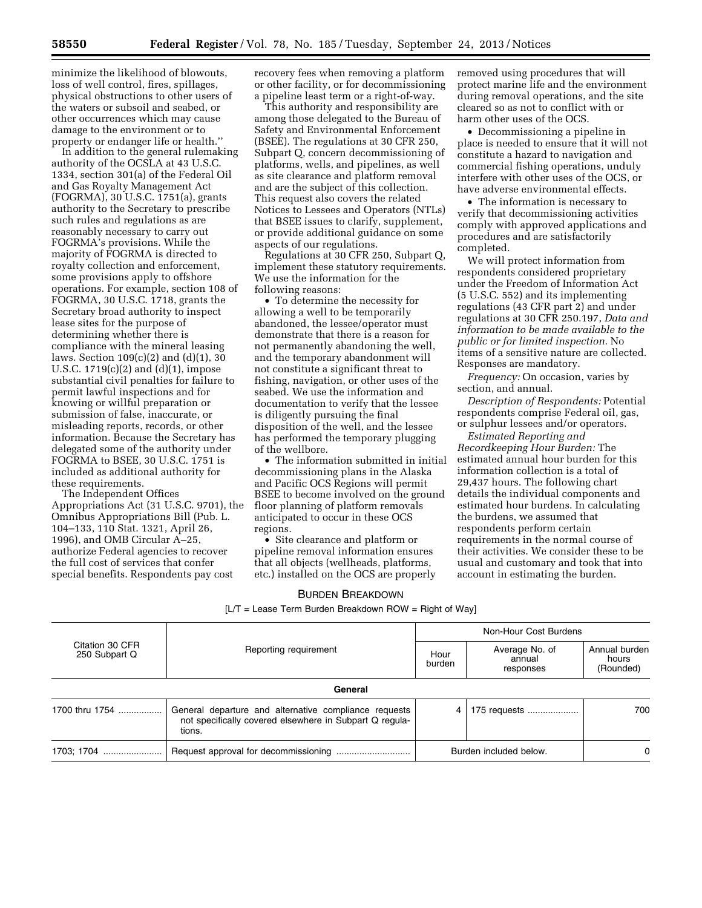minimize the likelihood of blowouts, loss of well control, fires, spillages, physical obstructions to other users of the waters or subsoil and seabed, or other occurrences which may cause damage to the environment or to property or endanger life or health.''

In addition to the general rulemaking authority of the OCSLA at 43 U.S.C. 1334, section 301(a) of the Federal Oil and Gas Royalty Management Act (FOGRMA), 30 U.S.C. 1751(a), grants authority to the Secretary to prescribe such rules and regulations as are reasonably necessary to carry out FOGRMA's provisions. While the majority of FOGRMA is directed to royalty collection and enforcement, some provisions apply to offshore operations. For example, section 108 of FOGRMA, 30 U.S.C. 1718, grants the Secretary broad authority to inspect lease sites for the purpose of determining whether there is compliance with the mineral leasing laws. Section 109(c)(2) and (d)(1), 30 U.S.C. 1719(c)(2) and (d)(1), impose substantial civil penalties for failure to permit lawful inspections and for knowing or willful preparation or submission of false, inaccurate, or misleading reports, records, or other information. Because the Secretary has delegated some of the authority under FOGRMA to BSEE, 30 U.S.C. 1751 is included as additional authority for these requirements.

The Independent Offices Appropriations Act (31 U.S.C. 9701), the Omnibus Appropriations Bill (Pub. L. 104–133, 110 Stat. 1321, April 26, 1996), and OMB Circular A–25, authorize Federal agencies to recover the full cost of services that confer special benefits. Respondents pay cost

recovery fees when removing a platform or other facility, or for decommissioning a pipeline least term or a right-of-way.

This authority and responsibility are among those delegated to the Bureau of Safety and Environmental Enforcement (BSEE). The regulations at 30 CFR 250, Subpart Q, concern decommissioning of platforms, wells, and pipelines, as well as site clearance and platform removal and are the subject of this collection. This request also covers the related Notices to Lessees and Operators (NTLs) that BSEE issues to clarify, supplement, or provide additional guidance on some aspects of our regulations.

Regulations at 30 CFR 250, Subpart Q, implement these statutory requirements. We use the information for the following reasons:

• To determine the necessity for allowing a well to be temporarily abandoned, the lessee/operator must demonstrate that there is a reason for not permanently abandoning the well, and the temporary abandonment will not constitute a significant threat to fishing, navigation, or other uses of the seabed. We use the information and documentation to verify that the lessee is diligently pursuing the final disposition of the well, and the lessee has performed the temporary plugging of the wellbore.

• The information submitted in initial decommissioning plans in the Alaska and Pacific OCS Regions will permit BSEE to become involved on the ground floor planning of platform removals anticipated to occur in these OCS regions.

• Site clearance and platform or pipeline removal information ensures that all objects (wellheads, platforms, etc.) installed on the OCS are properly removed using procedures that will protect marine life and the environment during removal operations, and the site cleared so as not to conflict with or harm other uses of the OCS.

• Decommissioning a pipeline in place is needed to ensure that it will not constitute a hazard to navigation and commercial fishing operations, unduly interfere with other uses of the OCS, or have adverse environmental effects.

• The information is necessary to verify that decommissioning activities comply with approved applications and procedures and are satisfactorily completed.

We will protect information from respondents considered proprietary under the Freedom of Information Act (5 U.S.C. 552) and its implementing regulations (43 CFR part 2) and under regulations at 30 CFR 250.197, *Data and information to be made available to the public or for limited inspection.* No items of a sensitive nature are collected. Responses are mandatory.

*Frequency:* On occasion, varies by section, and annual.

*Description of Respondents:* Potential respondents comprise Federal oil, gas, or sulphur lessees and/or operators.

*Estimated Reporting and Recordkeeping Hour Burden:* The estimated annual hour burden for this information collection is a total of 29,437 hours. The following chart details the individual components and estimated hour burdens. In calculating the burdens, we assumed that respondents perform certain requirements in the normal course of their activities. We consider these to be usual and customary and took that into account in estimating the burden.

#### BURDEN BREAKDOWN

[L/T = Lease Term Burden Breakdown ROW = Right of Way]

| Citation 30 CFR<br>250 Subpart Q | Reporting requirement                                                                                                      | Non-Hour Cost Burdens  |                                       |                                     |
|----------------------------------|----------------------------------------------------------------------------------------------------------------------------|------------------------|---------------------------------------|-------------------------------------|
|                                  |                                                                                                                            | Hour<br>burden         | Average No. of<br>annual<br>responses | Annual burden<br>hours<br>(Rounded) |
|                                  | General                                                                                                                    |                        |                                       |                                     |
| 1700 thru 1754                   | General departure and alternative compliance requests<br>not specifically covered elsewhere in Subpart Q regula-<br>tions. | 4                      | 175 requests                          | 700                                 |
| 1703; 1704                       |                                                                                                                            | Burden included below. |                                       | $\Omega$                            |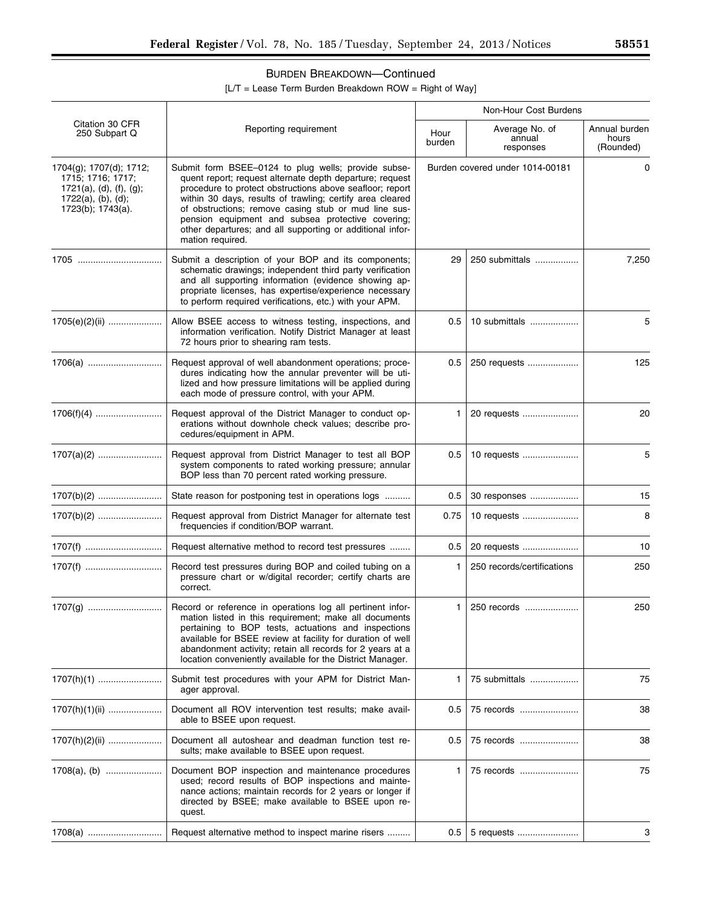# BURDEN BREAKDOWN—Continued

[L/T = Lease Term Burden Breakdown ROW = Right of Way]

|                                                                                                                          | Reporting requirement                                                                                                                                                                                                                                                                                                                                                                                                                  | Non-Hour Cost Burdens           |                                       |                                     |  |
|--------------------------------------------------------------------------------------------------------------------------|----------------------------------------------------------------------------------------------------------------------------------------------------------------------------------------------------------------------------------------------------------------------------------------------------------------------------------------------------------------------------------------------------------------------------------------|---------------------------------|---------------------------------------|-------------------------------------|--|
| Citation 30 CFR<br>250 Subpart Q                                                                                         |                                                                                                                                                                                                                                                                                                                                                                                                                                        | Hour<br>burden                  | Average No. of<br>annual<br>responses | Annual burden<br>hours<br>(Rounded) |  |
| 1704(g); 1707(d); 1712;<br>1715; 1716; 1717;<br>$1721(a)$ , (d), (f), (g);<br>$1722(a)$ , (b), (d);<br>1723(b); 1743(a). | Submit form BSEE-0124 to plug wells; provide subse-<br>quent report; request alternate depth departure; request<br>procedure to protect obstructions above seafloor; report<br>within 30 days, results of trawling; certify area cleared<br>of obstructions; remove casing stub or mud line sus-<br>pension equipment and subsea protective covering;<br>other departures; and all supporting or additional infor-<br>mation required. | Burden covered under 1014-00181 |                                       | 0                                   |  |
| 1705                                                                                                                     | Submit a description of your BOP and its components;<br>schematic drawings; independent third party verification<br>and all supporting information (evidence showing ap-<br>propriate licenses, has expertise/experience necessary<br>to perform required verifications, etc.) with your APM.                                                                                                                                          | 29                              | 250 submittals                        | 7,250                               |  |
| 1705(e)(2)(ii)                                                                                                           | Allow BSEE access to witness testing, inspections, and<br>information verification. Notify District Manager at least<br>72 hours prior to shearing ram tests.                                                                                                                                                                                                                                                                          | 0.5                             | 10 submittals                         | 5                                   |  |
|                                                                                                                          | Request approval of well abandonment operations; proce-<br>dures indicating how the annular preventer will be uti-<br>lized and how pressure limitations will be applied during<br>each mode of pressure control, with your APM.                                                                                                                                                                                                       | 0.5                             | 250 requests                          | 125                                 |  |
|                                                                                                                          | Request approval of the District Manager to conduct op-<br>erations without downhole check values; describe pro-<br>cedures/equipment in APM.                                                                                                                                                                                                                                                                                          | 1                               | 20 requests                           | 20                                  |  |
|                                                                                                                          | Request approval from District Manager to test all BOP<br>system components to rated working pressure; annular<br>BOP less than 70 percent rated working pressure.                                                                                                                                                                                                                                                                     | 0.5                             | 10 requests                           | 5                                   |  |
|                                                                                                                          | State reason for postponing test in operations logs                                                                                                                                                                                                                                                                                                                                                                                    | 0.5                             | 30 responses                          | 15                                  |  |
|                                                                                                                          | Request approval from District Manager for alternate test<br>frequencies if condition/BOP warrant.                                                                                                                                                                                                                                                                                                                                     | 0.75                            | 10 requests                           | 8                                   |  |
| 1707(f)                                                                                                                  | Request alternative method to record test pressures                                                                                                                                                                                                                                                                                                                                                                                    | 0.5                             | 20 requests                           | 10                                  |  |
| 1707(f)                                                                                                                  | Record test pressures during BOP and coiled tubing on a<br>pressure chart or w/digital recorder; certify charts are<br>correct.                                                                                                                                                                                                                                                                                                        | 1                               | 250 records/certifications            | 250                                 |  |
|                                                                                                                          | Record or reference in operations log all pertinent infor-<br>mation listed in this requirement; make all documents<br>pertaining to BOP tests, actuations and inspections<br>available for BSEE review at facility for duration of well<br>abandonment activity; retain all records for 2 years at a<br>location conveniently available for the District Manager.                                                                     | 1                               | 250 records                           | 250                                 |  |
|                                                                                                                          | Submit test procedures with your APM for District Man-<br>ager approval.                                                                                                                                                                                                                                                                                                                                                               | 1                               | 75 submittals                         | 75                                  |  |
| $1707(h)(1)(ii)$                                                                                                         | Document all ROV intervention test results; make avail-<br>able to BSEE upon request.                                                                                                                                                                                                                                                                                                                                                  | 0.5                             | 75 records                            | 38                                  |  |
| $1707(h)(2)(ii)$                                                                                                         | Document all autoshear and deadman function test re-<br>sults; make available to BSEE upon request.                                                                                                                                                                                                                                                                                                                                    | 0.5                             | 75 records                            | 38                                  |  |
|                                                                                                                          | Document BOP inspection and maintenance procedures<br>used; record results of BOP inspections and mainte-<br>nance actions; maintain records for 2 years or longer if<br>directed by BSEE; make available to BSEE upon re-<br>quest.                                                                                                                                                                                                   | 1                               | 75 records                            | 75                                  |  |
| 1708(a)                                                                                                                  | Request alternative method to inspect marine risers                                                                                                                                                                                                                                                                                                                                                                                    | 0.5                             | 5 requests                            | 3                                   |  |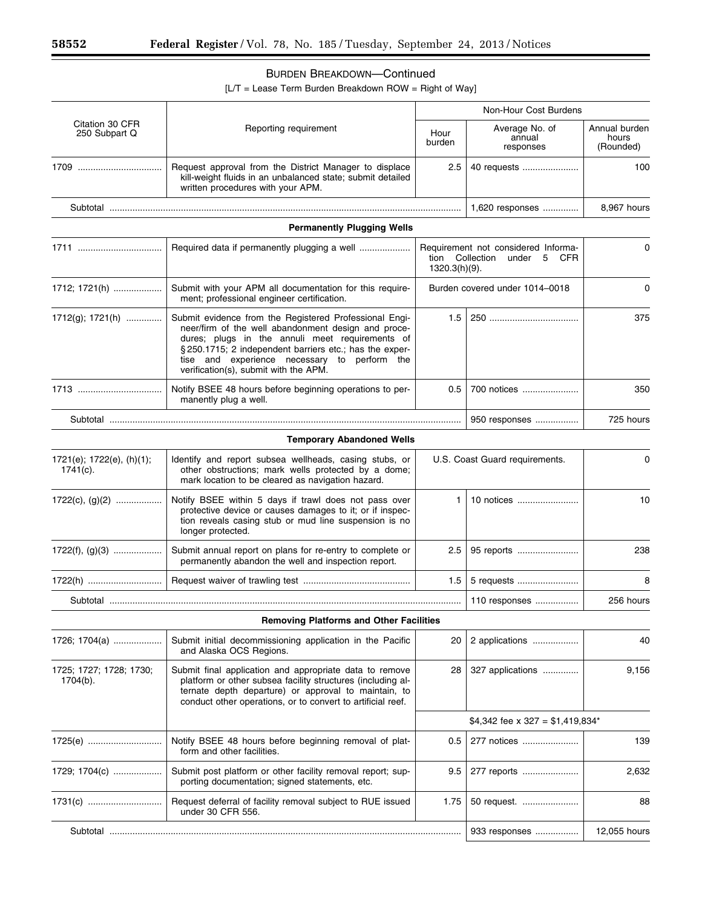$\equiv$ 

Ξ

# BURDEN BREAKDOWN—Continued

[L/T = Lease Term Burden Breakdown ROW = Right of Way]

|                                          | Reporting requirement                                                                                                                                                                                                                                                                                               | Non-Hour Cost Burdens                                                                            |                                       |                                     |
|------------------------------------------|---------------------------------------------------------------------------------------------------------------------------------------------------------------------------------------------------------------------------------------------------------------------------------------------------------------------|--------------------------------------------------------------------------------------------------|---------------------------------------|-------------------------------------|
| Citation 30 CFR<br>250 Subpart Q         |                                                                                                                                                                                                                                                                                                                     | Hour<br>burden                                                                                   | Average No. of<br>annual<br>responses | Annual burden<br>hours<br>(Rounded) |
| 1709                                     | Request approval from the District Manager to displace<br>kill-weight fluids in an unbalanced state; submit detailed<br>written procedures with your APM.                                                                                                                                                           | 2.5                                                                                              | 40 requests                           | 100                                 |
|                                          |                                                                                                                                                                                                                                                                                                                     |                                                                                                  | 1,620 responses                       | 8,967 hours                         |
|                                          | <b>Permanently Plugging Wells</b>                                                                                                                                                                                                                                                                                   |                                                                                                  |                                       |                                     |
|                                          | Required data if permanently plugging a well                                                                                                                                                                                                                                                                        | Requirement not considered Informa-<br>tion Collection<br>under 5<br><b>CFR</b><br>1320.3(h)(9). |                                       | $\Omega$                            |
| 1712; 1721(h)                            | Submit with your APM all documentation for this require-<br>ment; professional engineer certification.                                                                                                                                                                                                              | Burden covered under 1014-0018                                                                   |                                       | 0                                   |
| 1712(g); 1721(h)                         | Submit evidence from the Registered Professional Engi-<br>neer/firm of the well abandonment design and proce-<br>dures; plugs in the annuli meet requirements of<br>§250.1715; 2 independent barriers etc.; has the exper-<br>tise and experience necessary to perform the<br>verification(s), submit with the APM. | 1.5                                                                                              |                                       | 375                                 |
|                                          | Notify BSEE 48 hours before beginning operations to per-<br>manently plug a well.                                                                                                                                                                                                                                   | 0.5                                                                                              | 700 notices                           | 350                                 |
|                                          |                                                                                                                                                                                                                                                                                                                     |                                                                                                  | 950 responses                         | 725 hours                           |
|                                          | <b>Temporary Abandoned Wells</b>                                                                                                                                                                                                                                                                                    |                                                                                                  |                                       |                                     |
| 1721(e); 1722(e), (h)(1);<br>$1741(c)$ . | Identify and report subsea wellheads, casing stubs, or<br>other obstructions; mark wells protected by a dome;<br>mark location to be cleared as navigation hazard.                                                                                                                                                  | U.S. Coast Guard requirements.                                                                   |                                       | 0                                   |
| $1722(c), (g)(2)$                        | Notify BSEE within 5 days if trawl does not pass over<br>protective device or causes damages to it; or if inspec-<br>tion reveals casing stub or mud line suspension is no<br>longer protected.                                                                                                                     | 1                                                                                                | 10 notices                            | 10                                  |
| $1722(f), (g)(3)$                        | Submit annual report on plans for re-entry to complete or<br>permanently abandon the well and inspection report.                                                                                                                                                                                                    | 2.5                                                                                              | 95 reports                            | 238                                 |
| 1722(h)                                  |                                                                                                                                                                                                                                                                                                                     | 1.5                                                                                              | 5 requests                            | 8                                   |
|                                          |                                                                                                                                                                                                                                                                                                                     |                                                                                                  | 110 responses                         | 256 hours                           |
|                                          | <b>Removing Platforms and Other Facilities</b>                                                                                                                                                                                                                                                                      |                                                                                                  |                                       |                                     |
| 1726; 1704(a)                            | Submit initial decommissioning application in the Pacific<br>and Alaska OCS Regions.                                                                                                                                                                                                                                | 20                                                                                               | 2 applications                        | 40                                  |
| 1725; 1727; 1728; 1730;<br>$1704(b)$ .   | Submit final application and appropriate data to remove<br>platform or other subsea facility structures (including al-<br>ternate depth departure) or approval to maintain, to<br>conduct other operations, or to convert to artificial reef.                                                                       | 28                                                                                               | 327 applications                      | 9,156                               |
|                                          |                                                                                                                                                                                                                                                                                                                     |                                                                                                  | \$4,342 fee x 327 = \$1,419,834*      |                                     |
| 1725(e)                                  | Notify BSEE 48 hours before beginning removal of plat-<br>form and other facilities.                                                                                                                                                                                                                                | 0.5                                                                                              | 277 notices                           | 139                                 |
| 1729; 1704(c)                            | Submit post platform or other facility removal report; sup-<br>porting documentation; signed statements, etc.                                                                                                                                                                                                       | 9.5                                                                                              | 277 reports                           | 2,632                               |
| 1731(c)                                  | Request deferral of facility removal subject to RUE issued<br>under 30 CFR 556.                                                                                                                                                                                                                                     | 1.75                                                                                             | 50 request.                           | 88                                  |
|                                          |                                                                                                                                                                                                                                                                                                                     |                                                                                                  | 933 responses                         | 12,055 hours                        |